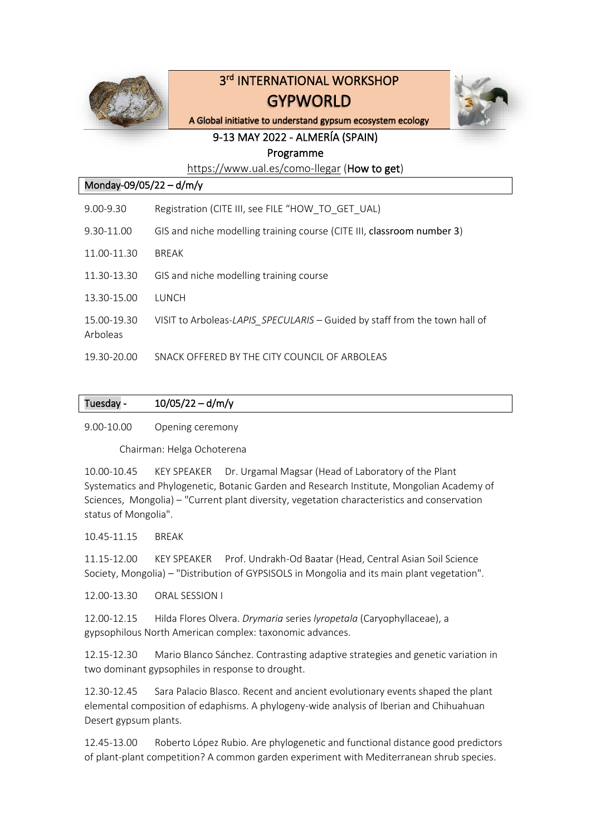

# 3 rd INTERNATIONAL WORKSHOP GYPWORLD



A Global initiative to understand gypsum ecosystem ecology

# 9-13 MAY 2022 - ALMERÍA (SPAIN) Programme

<https://www.ual.es/como-llegar> (How to get)

| Monday-09/05/22 - d/m/y |                                                                            |  |
|-------------------------|----------------------------------------------------------------------------|--|
| $9.00 - 9.30$           | Registration (CITE III, see FILE "HOW TO GET UAL)                          |  |
| 9.30-11.00              | GIS and niche modelling training course (CITE III, classroom number 3)     |  |
| 11.00-11.30             | <b>BRFAK</b>                                                               |  |
| 11.30-13.30             | GIS and niche modelling training course                                    |  |
| 13.30-15.00             | <b>TUNCH</b>                                                               |  |
| 15.00-19.30<br>Arboleas | VISIT to Arboleas-LAPIS SPECULARIS - Guided by staff from the town hall of |  |
| 19.30-20.00             | SNACK OFFERED BY THE CITY COUNCIL OF ARBOLEAS                              |  |

| Tuesday - | $10/05/22 - d/m/y$ |
|-----------|--------------------|

9.00-10.00 Opening ceremony

Chairman: Helga Ochoterena

10.00-10.45 KEY SPEAKER Dr. Urgamal Magsar (Head of Laboratory of the Plant Systematics and Phylogenetic, Botanic Garden and Research Institute, Mongolian Academy of Sciences, Mongolia) – "Current plant diversity, vegetation characteristics and conservation status of Mongolia".

10.45-11.15 BREAK

11.15-12.00 KEY SPEAKER Prof. Undrakh-Od Baatar (Head, Central Asian Soil Science Society, Mongolia) – "Distribution of GYPSISOLS in Mongolia and its main plant vegetation".

12.00-13.30 ORAL SESSION I

12.00-12.15 Hilda Flores Olvera. *Drymaria* series *lyropetala* (Caryophyllaceae), a gypsophilous North American complex: taxonomic advances.

12.15-12.30 Mario Blanco Sánchez. Contrasting adaptive strategies and genetic variation in two dominant gypsophiles in response to drought.

12.30-12.45 Sara Palacio Blasco. Recent and ancient evolutionary events shaped the plant elemental composition of edaphisms. A phylogeny-wide analysis of Iberian and Chihuahuan Desert gypsum plants.

12.45-13.00 Roberto López Rubio. Are phylogenetic and functional distance good predictors of plant-plant competition? A common garden experiment with Mediterranean shrub species.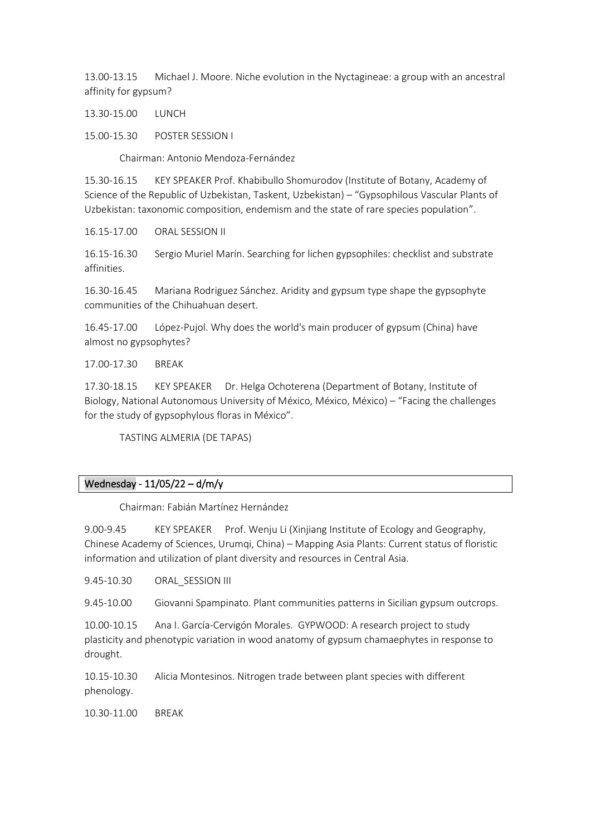13.00-13.15 Michael J. Moore. Niche evolution in the Nyctagineae: a group with an ancestral affinity for gypsum?

13.30-15.00 LUNCH

15.00-15.30 POSTER SESSION I

Chairman: Antonio Mendoza-Fernández

15.30-16.15 KEY SPEAKER Prof. Khabibullo Shomurodov (Institute of Botany, Academy of Science of the Republic of Uzbekistan, Taskent, Uzbekistan) – "Gypsophilous Vascular Plants of Uzbekistan: taxonomic composition, endemism and the state of rare species population".

16.15-17.00 ORAL SESSION II

16.15-16.30 Sergio Muriel Marín. Searching for lichen gypsophiles: checklist and substrate affinities.

16.30-16.45 Mariana Rodriguez Sánchez. Aridity and gypsum type shape the gypsophyte communities of the Chihuahuan desert.

16.45-17.00 López-Pujol. Why does the world's main producer of gypsum (China) have almost no gypsophytes?

17.00-17.30 BREAK

17.30-18.15 KEY SPEAKER Dr. Helga Ochoterena (Department of Botany, Institute of Biology, National Autonomous University of México, México, México) – "Facing the challenges for the study of gypsophylous floras in México".

TASTING ALMERIA (DE TAPAS)

# Wednesday - 11/05/22 – d/m/y

Chairman: Fabián Martínez Hernández

9.00-9.45 KEY SPEAKER Prof. Wenju Li (Xinjiang Institute of Ecology and Geography, Chinese Academy of Sciences, Urumqi, China) – Mapping Asia Plants: Current status of floristic information and utilization of plant diversity and resources in Central Asia.

9.45-10.30 ORAL SESSION III

9.45-10.00 Giovanni Spampinato. Plant communities patterns in Sicilian gypsum outcrops.

10.00-10.15 Ana I. García-Cervigón Morales. GYPWOOD: A research project to study plasticity and phenotypic variation in wood anatomy of gypsum chamaephytes in response to drought.

10.15-10.30 Alicia Montesinos. Nitrogen trade between plant species with different phenology.

10.30-11.00 BREAK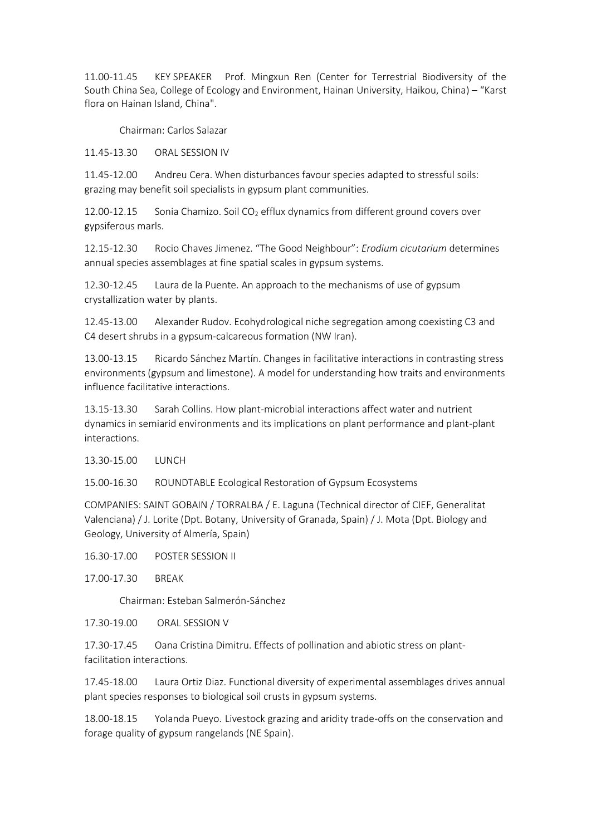11.00-11.45 KEY SPEAKER Prof. Mingxun Ren (Center for Terrestrial Biodiversity of the South China Sea, College of Ecology and Environment, Hainan University, Haikou, China) – "Karst flora on Hainan Island, China".

Chairman: Carlos Salazar

11.45-13.30 ORAL SESSION IV

11.45-12.00 Andreu Cera. When disturbances favour species adapted to stressful soils: grazing may benefit soil specialists in gypsum plant communities.

12.00-12.15 Sonia Chamizo. Soil CO<sub>2</sub> efflux dynamics from different ground covers over gypsiferous marls.

12.15-12.30 Rocio Chaves Jimenez. "The Good Neighbour": *Erodium cicutarium* determines annual species assemblages at fine spatial scales in gypsum systems.

12.30-12.45 Laura de la Puente. An approach to the mechanisms of use of gypsum crystallization water by plants.

12.45-13.00 Alexander Rudov. Ecohydrological niche segregation among coexisting C3 and C4 desert shrubs in a gypsum-calcareous formation (NW Iran).

13.00-13.15 Ricardo Sánchez Martín. Changes in facilitative interactions in contrasting stress environments (gypsum and limestone). A model for understanding how traits and environments influence facilitative interactions.

13.15-13.30 Sarah Collins. How plant-microbial interactions affect water and nutrient dynamics in semiarid environments and its implications on plant performance and plant-plant interactions.

13.30-15.00 LUNCH

15.00-16.30 ROUNDTABLE Ecological Restoration of Gypsum Ecosystems

COMPANIES: SAINT GOBAIN / TORRALBA / E. Laguna (Technical director of CIEF, Generalitat Valenciana) / J. Lorite (Dpt. Botany, University of Granada, Spain) / J. Mota (Dpt. Biology and Geology, University of Almería, Spain)

16.30-17.00 POSTER SESSION II

17.00-17.30 BREAK

Chairman: Esteban Salmerón-Sánchez

17.30-19.00 ORAL SESSION V

17.30-17.45 Oana Cristina Dimitru. Effects of pollination and abiotic stress on plantfacilitation interactions.

17.45-18.00 Laura Ortiz Diaz. Functional diversity of experimental assemblages drives annual plant species responses to biological soil crusts in gypsum systems.

18.00-18.15 Yolanda Pueyo. Livestock grazing and aridity trade-offs on the conservation and forage quality of gypsum rangelands (NE Spain).